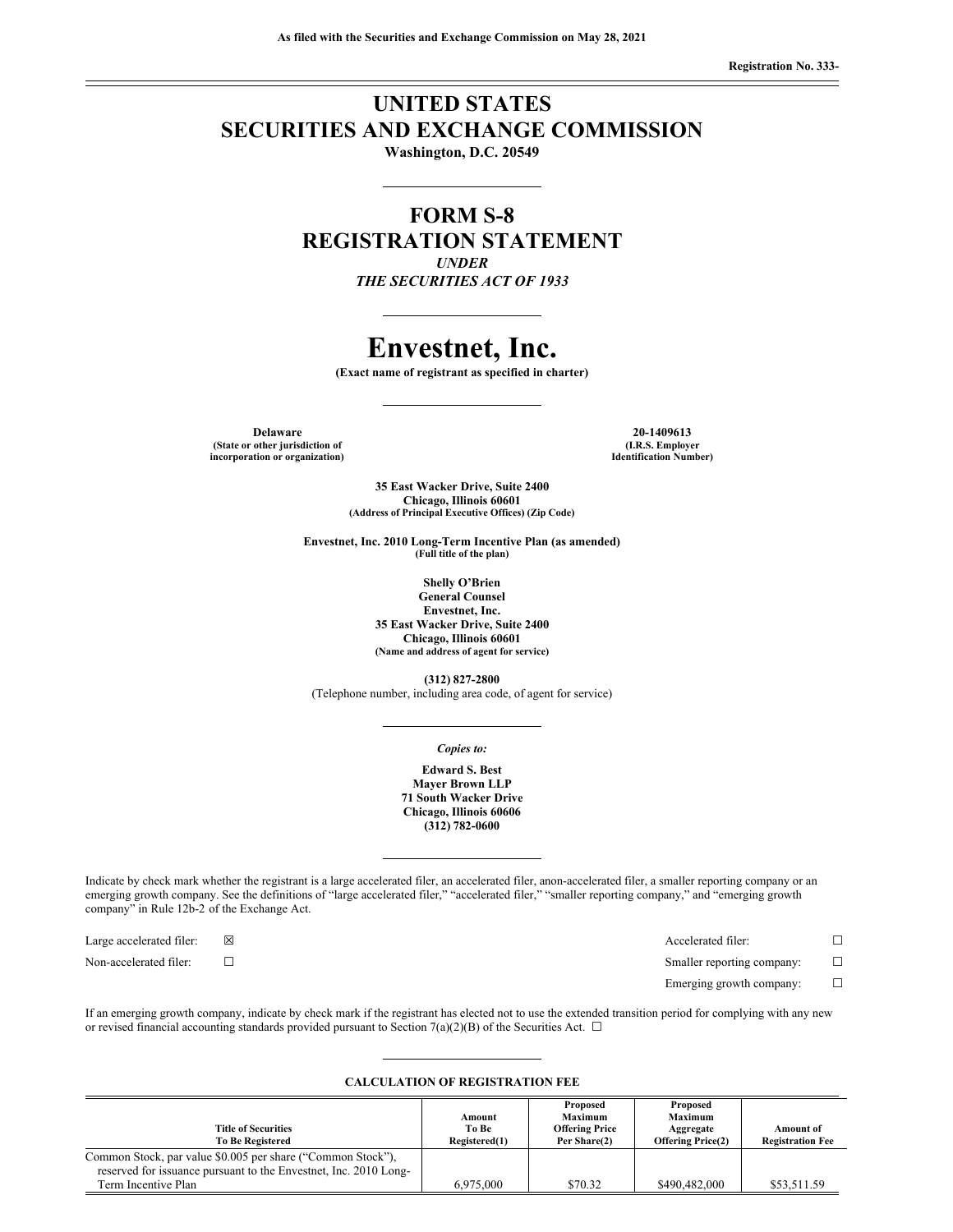## **UNITED STATES SECURITIES AND EXCHANGE COMMISSION**

**Washington, D.C. 20549**

### **FORM S-8 REGISTRATION STATEMENT** *UNDER THE SECURITIES ACT OF 1933*

## **Envestnet, Inc.**

**(Exact name of registrant as specified in charter)**

**Delaware 20-1409613 (State or other jurisdiction of incorporation or organization)**

**(I.R.S. Employer Identification Number)**

**35 East Wacker Drive, Suite 2400 Chicago, Illinois 60601 (Address of Principal Executive Offices) (Zip Code)**

**Envestnet, Inc. 2010 Long-Term Incentive Plan (as amended) (Full title of the plan)**

> **Shelly O'Brien General Counsel Envestnet, Inc. 35 East Wacker Drive, Suite 2400 Chicago, Illinois 60601 (Name and address of agent for service)**

**(312) 827-2800** (Telephone number, including area code, of agent for service)

*Copies to:*

**Edward S. Best Mayer Brown LLP 71 South Wacker Drive Chicago, Illinois 60606 (312) 782-0600**

Indicate by check mark whether the registrant is a large accelerated filer, an accelerated filer, anon-accelerated filer, a smaller reporting company or an emerging growth company. See the definitions of "large accelerated filer," "accelerated filer," "smaller reporting company," and "emerging growth company" in Rule 12b-2 of the Exchange Act.

Non-accelerated filer: <del>□</del> □

Large accelerated filer: ☒ Accelerated filer: ☐

Emerging growth company:  $\Box$ 

If an emerging growth company, indicate by check mark if the registrant has elected not to use the extended transition period for complying with any new or revised financial accounting standards provided pursuant to Section 7(a)(2)(B) of the Securities Act.  $\Box$ 

#### **CALCULATION OF REGISTRATION FEE**

| Amount<br>To Be<br>Registered(1) | Proposed<br><b>Maximum</b><br><b>Offering Price</b><br>Per Share(2) | Proposed<br>Maximum<br>Aggregate<br><b>Offering Price(2)</b> | <b>Amount of</b><br><b>Registration Fee</b> |
|----------------------------------|---------------------------------------------------------------------|--------------------------------------------------------------|---------------------------------------------|
|                                  |                                                                     |                                                              |                                             |
|                                  |                                                                     |                                                              | \$53,511.59                                 |
|                                  | 6,975,000                                                           | \$70.32                                                      | \$490,482,000                               |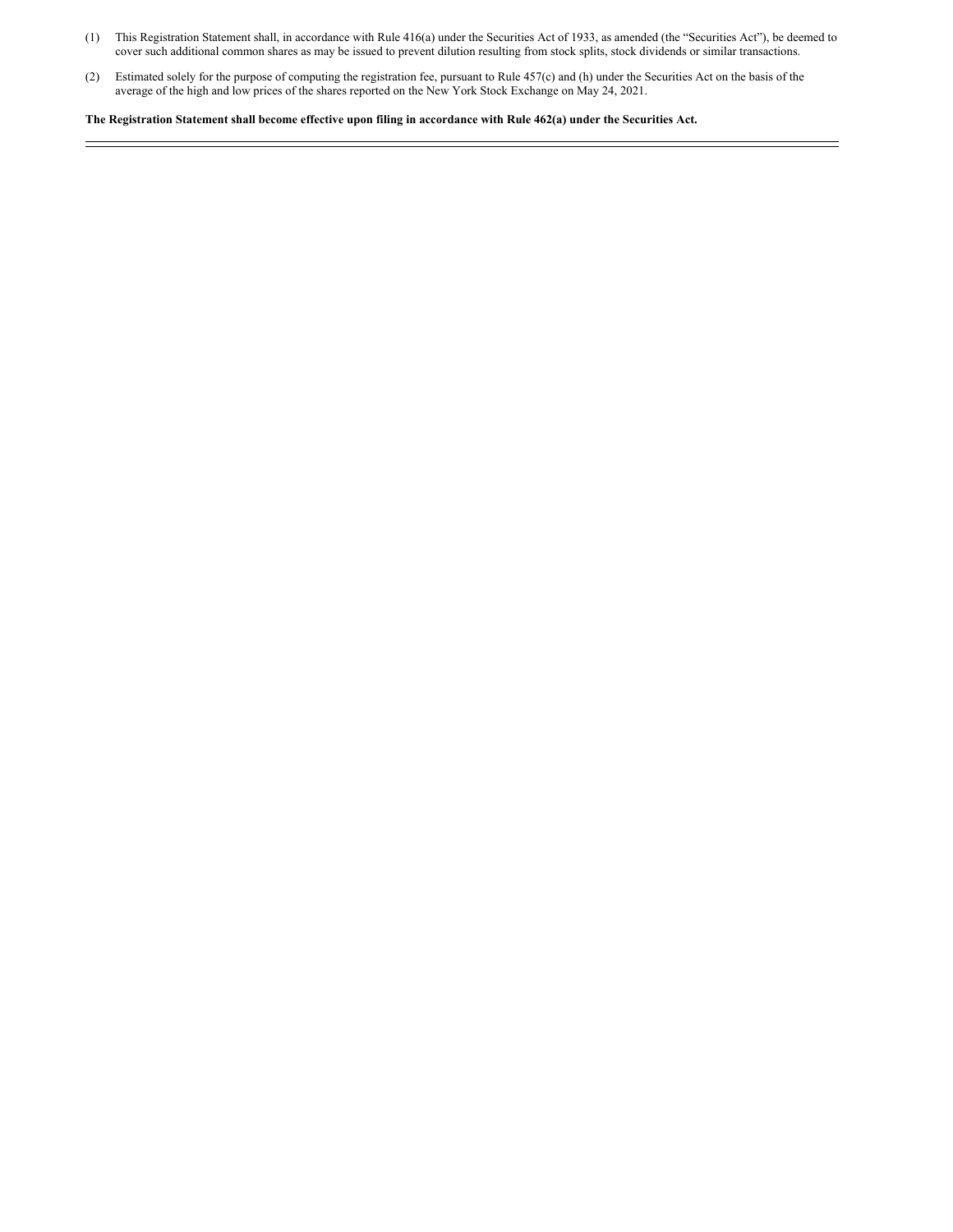- (1) This Registration Statement shall, in accordance with Rule 416(a) under the Securities Act of 1933, as amended (the "Securities Act"), be deemed to cover such additional common shares as may be issued to prevent dilution resulting from stock splits, stock dividends or similar transactions.
- (2) Estimated solely for the purpose of computing the registration fee, pursuant to Rule 457(c) and (h) under the Securities Act on the basis of the average of the high and low prices of the shares reported on the New York Stock Exchange on May 24, 2021.

The Registration Statement shall become effective upon filing in accordance with Rule 462(a) under the Securities Act.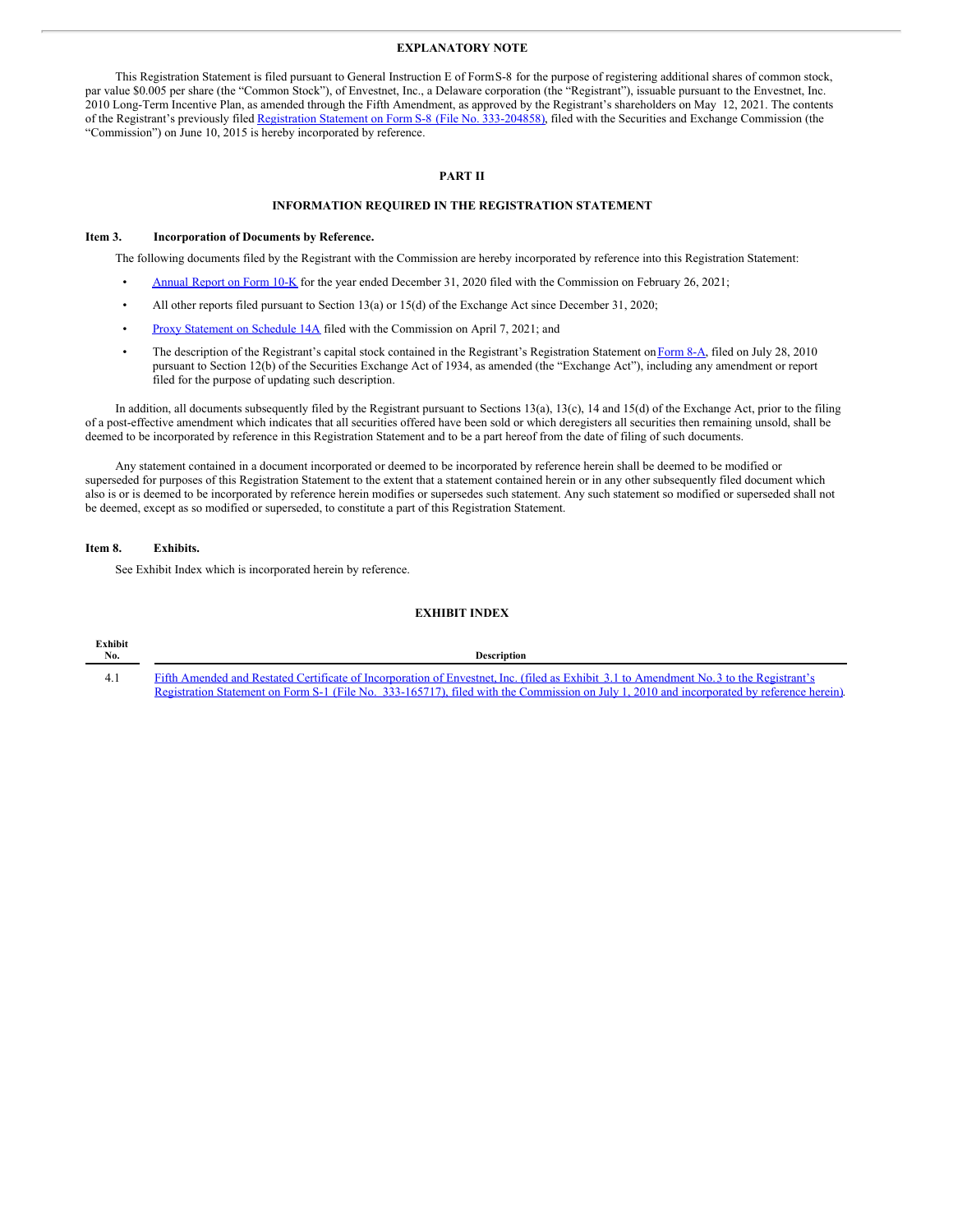#### **EXPLANATORY NOTE**

This Registration Statement is filed pursuant to General Instruction E of FormS-8 for the purpose of registering additional shares of common stock, par value \$0.005 per share (the "Common Stock"), of Envestnet, Inc., a Delaware corporation (the "Registrant"), issuable pursuant to the Envestnet, Inc. 2010 Long-Term Incentive Plan, as amended through the Fifth Amendment, as approved by the Registrant's shareholders on May 12, 2021. The contents of the Registrant's previously filed Registration Statement on Form S-8 (File No. [333-204858\)](http://www.sec.gov/Archives/edgar/data/1337619/000110465915044640/a15-13850_1s8.htm), filed with the Securities and Exchange Commission (the "Commission") on June 10, 2015 is hereby incorporated by reference.

#### **PART II**

#### **INFORMATION REQUIRED IN THE REGISTRATION STATEMENT**

#### **Item 3. Incorporation of Documents by Reference.**

The following documents filed by the Registrant with the Commission are hereby incorporated by reference into this Registration Statement:

- [Annual](http://www.sec.gov/ix?doc=/Archives/edgar/data/0001337619/000162828021003457/env-20201231.htm) Report on Form 10-K for the year ended December 31, 2020 filed with the Commission on February 26, 2021;
- All other reports filed pursuant to Section 13(a) or 15(d) of the Exchange Act since December 31, 2020;
- Proxy [Statement](http://www.sec.gov/Archives/edgar/data/0001337619/000133761921000002/a2020proxydef14a.htm) on Schedule 14A filed with the Commission on April 7, 2021; and
- The description of the Registrant's capital stock contained in the Registrant's Registration Statement on [Form](http://www.sec.gov/Archives/edgar/data/1337619/000119312510168680/d8a12b.htm) 8-A, filed on July 28, 2010 pursuant to Section 12(b) of the Securities Exchange Act of 1934, as amended (the "Exchange Act"), including any amendment or report filed for the purpose of updating such description.

In addition, all documents subsequently filed by the Registrant pursuant to Sections 13(a), 13(c), 14 and 15(d) of the Exchange Act, prior to the filing of a post-effective amendment which indicates that all securities offered have been sold or which deregisters all securities then remaining unsold, shall be deemed to be incorporated by reference in this Registration Statement and to be a part hereof from the date of filing of such documents.

Any statement contained in a document incorporated or deemed to be incorporated by reference herein shall be deemed to be modified or superseded for purposes of this Registration Statement to the extent that a statement contained herein or in any other subsequently filed document which also is or is deemed to be incorporated by reference herein modifies or supersedes such statement. Any such statement so modified or superseded shall not be deemed, except as so modified or superseded, to constitute a part of this Registration Statement.

#### **Item 8. Exhibits.**

See Exhibit Index which is incorporated herein by reference.

#### **EXHIBIT INDEX**

| <b>Exhibit</b><br>No. | <b>Description</b>                                                                                                                         |
|-----------------------|--------------------------------------------------------------------------------------------------------------------------------------------|
|                       | Fifth Amended and Restated Certificate of Incorporation of Envestnet, Inc. (filed as Exhibit 3.1 to Amendment No.3 to the Registrant's     |
|                       | Registration Statement on Form S-1 (File No. 333-165717), filed with the Commission on July 1, 2010 and incorporated by reference herein). |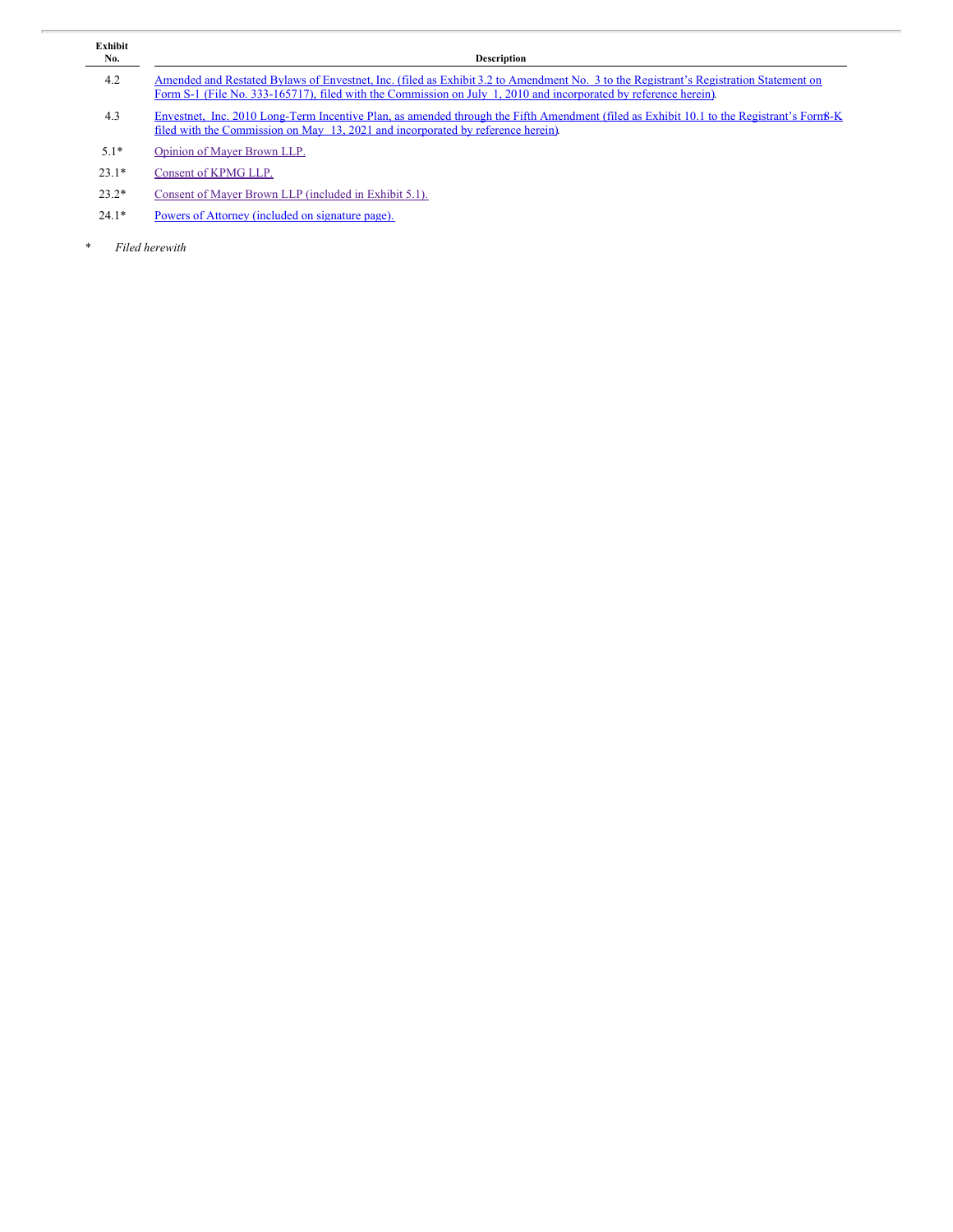| Exhibit<br>No. | <b>Description</b>                                                                                                                                                                                                                                        |
|----------------|-----------------------------------------------------------------------------------------------------------------------------------------------------------------------------------------------------------------------------------------------------------|
| 4.2            | Amended and Restated Bylaws of Envestnet, Inc. (filed as Exhibit 3.2 to Amendment No. 3 to the Registrant's Registration Statement on<br>Form S-1 (File No. 333-165717), filed with the Commission on July 1, 2010 and incorporated by reference herein). |
| 4.3            | Envestnet. Inc. 2010 Long-Term Incentive Plan, as amended through the Fifth Amendment (filed as Exhibit 10.1 to the Registrant's Form8-K<br>filed with the Commission on May 13, 2021 and incorporated by reference herein)                               |
| $5.1*$         | Opinion of Mayer Brown LLP.                                                                                                                                                                                                                               |
| $23.1*$        | Consent of KPMG LLP.                                                                                                                                                                                                                                      |
| $23.2*$        | Consent of Mayer Brown LLP (included in Exhibit 5.1).                                                                                                                                                                                                     |
| $24.1*$        | Powers of Attorney (included on signature page).                                                                                                                                                                                                          |

\* *Filed herewith*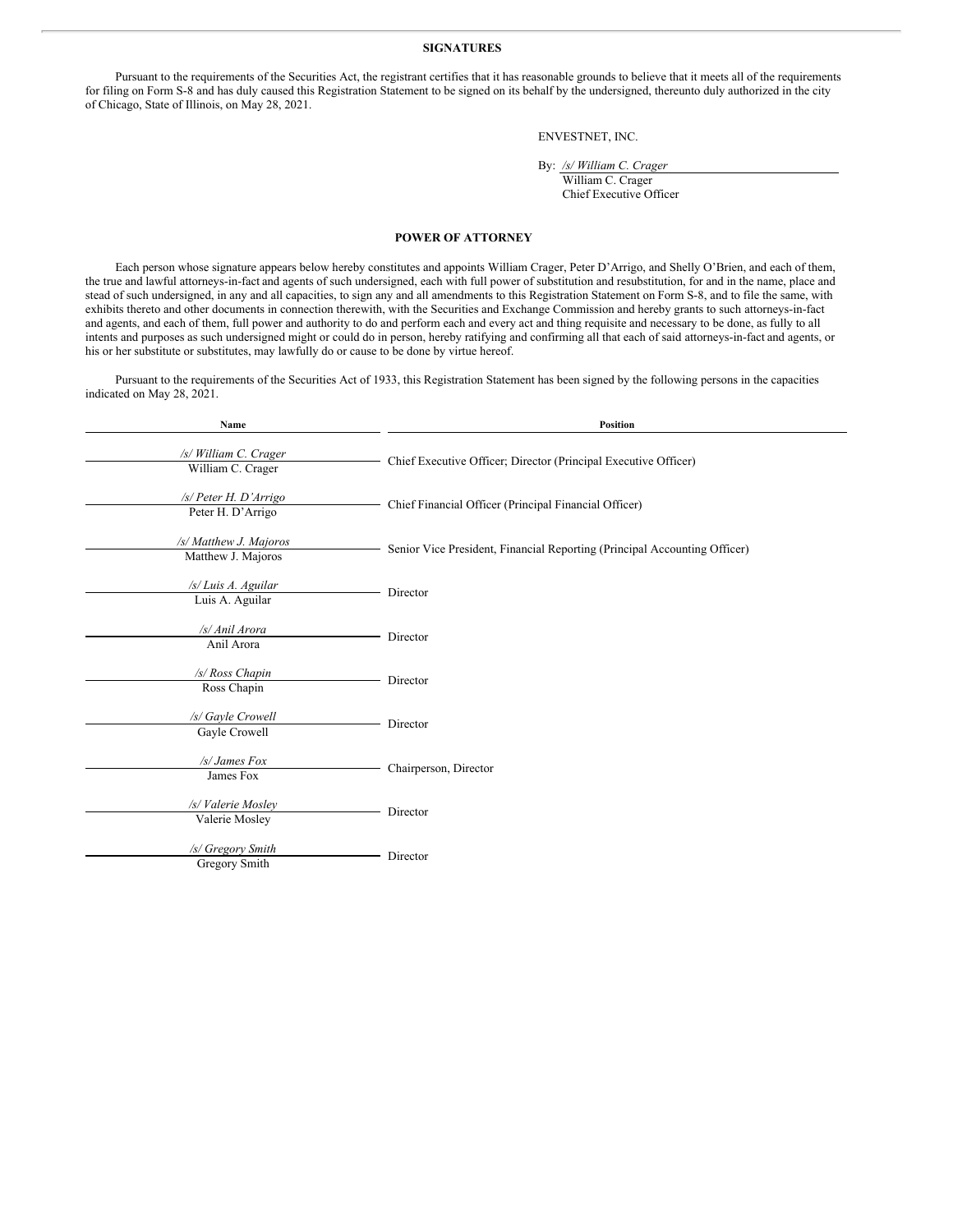#### **SIGNATURES**

Pursuant to the requirements of the Securities Act, the registrant certifies that it has reasonable grounds to believe that it meets all of the requirements for filing on Form S-8 and has duly caused this Registration Statement to be signed on its behalf by the undersigned, thereunto duly authorized in the city of Chicago, State of Illinois, on May 28, 2021.

#### ENVESTNET, INC.

```
By: /s/ William C. Crager
```
William C. Crager Chief Executive Officer

#### <span id="page-4-0"></span>**POWER OF ATTORNEY**

Each person whose signature appears below hereby constitutes and appoints William Crager, Peter D'Arrigo, and Shelly O'Brien, and each of them, the true and lawful attorneys-in-fact and agents of such undersigned, each with full power of substitution and resubstitution, for and in the name, place and stead of such undersigned, in any and all capacities, to sign any and all amendments to this Registration Statement on Form S-8, and to file the same, with exhibits thereto and other documents in connection therewith, with the Securities and Exchange Commission and hereby grants to such attorneys-in-fact and agents, and each of them, full power and authority to do and perform each and every act and thing requisite and necessary to be done, as fully to all intents and purposes as such undersigned might or could do in person, hereby ratifying and confirming all that each of said attorneys-in-fact and agents, or his or her substitute or substitutes, may lawfully do or cause to be done by virtue hereof.

Pursuant to the requirements of the Securities Act of 1933, this Registration Statement has been signed by the following persons in the capacities indicated on May 28, 2021.

| Name                                         | Position                                                                  |
|----------------------------------------------|---------------------------------------------------------------------------|
| /s/ William C. Crager<br>William C. Crager   | Chief Executive Officer; Director (Principal Executive Officer)           |
| /s/ Peter H. D'Arrigo<br>Peter H. D'Arrigo   | Chief Financial Officer (Principal Financial Officer)                     |
| /s/ Matthew J. Majoros<br>Matthew J. Majoros | Senior Vice President, Financial Reporting (Principal Accounting Officer) |
| /s/ Luis A. Aguilar<br>Luis A. Aguilar       | Director                                                                  |
| /s/ Anil Arora<br>Anil Arora                 | Director                                                                  |
| /s/ Ross Chapin<br>Ross Chapin               | Director                                                                  |
| /s/ Gayle Crowell<br>Gayle Crowell           | Director                                                                  |
| /s/ James Fox<br>James Fox                   | Chairperson, Director                                                     |
| /s/ Valerie Mosley<br>Valerie Mosley         | Director                                                                  |
| /s/ Gregory Smith<br>Gregory Smith           | Director                                                                  |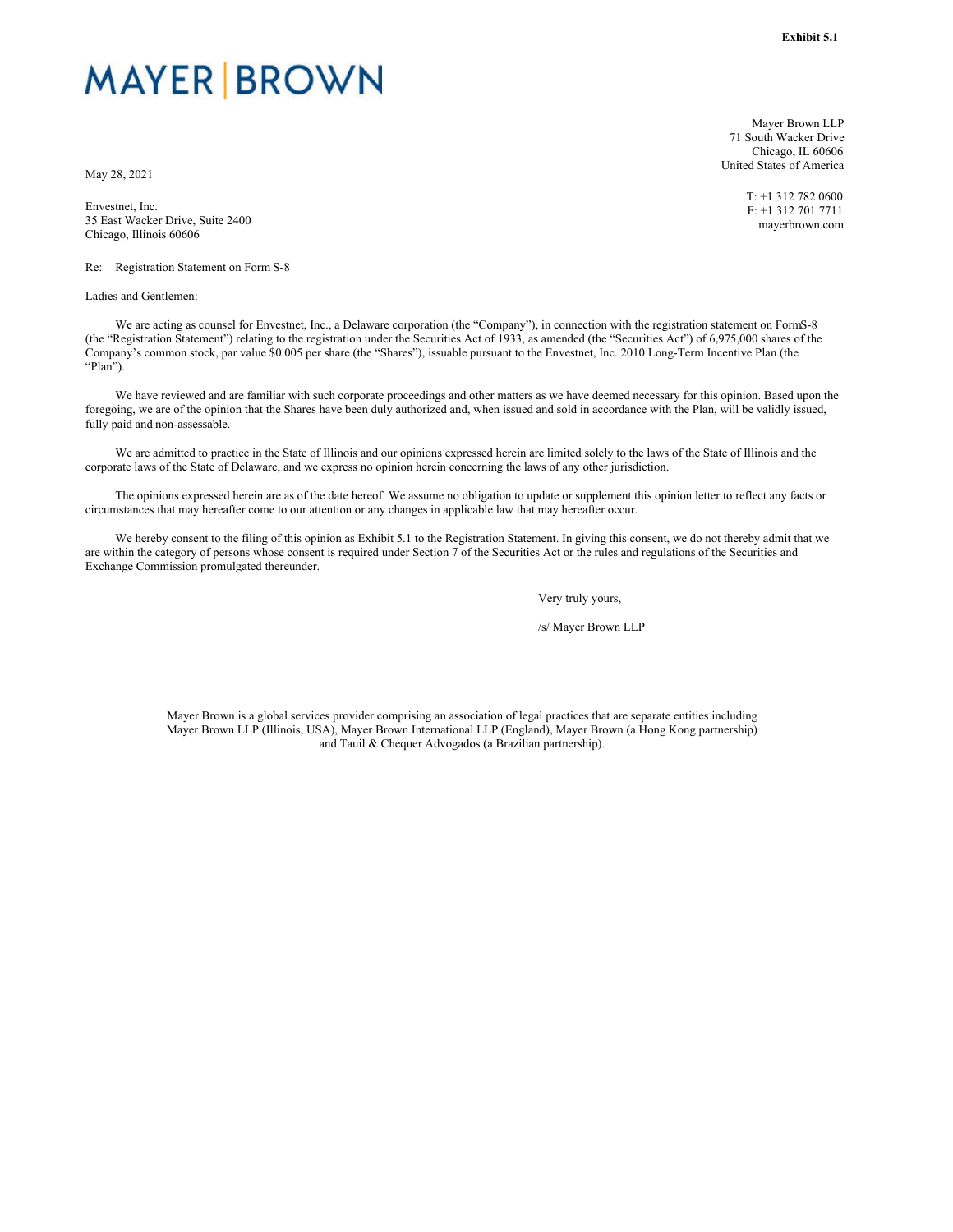# <span id="page-5-0"></span>**MAYER BROWN**

May 28, 2021

Envestnet, Inc. 35 East Wacker Drive, Suite 2400 Chicago, Illinois 60606

Re: Registration Statement on Form S-8

Ladies and Gentlemen:

Mayer Brown LLP 71 South Wacker Drive Chicago, IL 60606 United States of America

> T: +1 312 782 0600 F: +1 312 701 7711 mayerbrown.com

We are acting as counsel for Envestnet, Inc., a Delaware corporation (the "Company"), in connection with the registration statement on FormS-8 (the "Registration Statement") relating to the registration under the Securities Act of 1933, as amended (the "Securities Act") of 6,975,000 shares of the Company's common stock, par value \$0.005 per share (the "Shares"), issuable pursuant to the Envestnet, Inc. 2010 Long-Term Incentive Plan (the "Plan").

We have reviewed and are familiar with such corporate proceedings and other matters as we have deemed necessary for this opinion. Based upon the foregoing, we are of the opinion that the Shares have been duly authorized and, when issued and sold in accordance with the Plan, will be validly issued, fully paid and non-assessable.

We are admitted to practice in the State of Illinois and our opinions expressed herein are limited solely to the laws of the State of Illinois and the corporate laws of the State of Delaware, and we express no opinion herein concerning the laws of any other jurisdiction.

The opinions expressed herein are as of the date hereof. We assume no obligation to update or supplement this opinion letter to reflect any facts or circumstances that may hereafter come to our attention or any changes in applicable law that may hereafter occur.

We hereby consent to the filing of this opinion as Exhibit 5.1 to the Registration Statement. In giving this consent, we do not thereby admit that we are within the category of persons whose consent is required under Section 7 of the Securities Act or the rules and regulations of the Securities and Exchange Commission promulgated thereunder.

Very truly yours,

/s/ Mayer Brown LLP

Mayer Brown is a global services provider comprising an association of legal practices that are separate entities including Mayer Brown LLP (Illinois, USA), Mayer Brown International LLP (England), Mayer Brown (a Hong Kong partnership) and Tauil & Chequer Advogados (a Brazilian partnership).